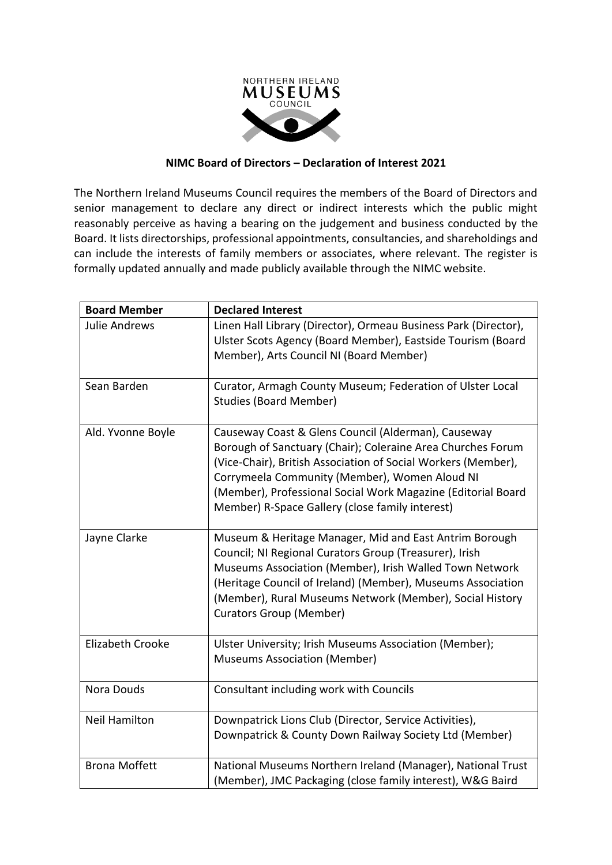

## **NIMC Board of Directors – Declaration of Interest 2021**

The Northern Ireland Museums Council requires the members of the Board of Directors and senior management to declare any direct or indirect interests which the public might reasonably perceive as having a bearing on the judgement and business conducted by the Board. It lists directorships, professional appointments, consultancies, and shareholdings and can include the interests of family members or associates, where relevant. The register is formally updated annually and made publicly available through the NIMC website.

| <b>Board Member</b>  | <b>Declared Interest</b>                                                                                                                                                                                                                                                                                                                                |
|----------------------|---------------------------------------------------------------------------------------------------------------------------------------------------------------------------------------------------------------------------------------------------------------------------------------------------------------------------------------------------------|
| <b>Julie Andrews</b> | Linen Hall Library (Director), Ormeau Business Park (Director),<br>Ulster Scots Agency (Board Member), Eastside Tourism (Board<br>Member), Arts Council NI (Board Member)                                                                                                                                                                               |
| Sean Barden          | Curator, Armagh County Museum; Federation of Ulster Local<br><b>Studies (Board Member)</b>                                                                                                                                                                                                                                                              |
| Ald. Yvonne Boyle    | Causeway Coast & Glens Council (Alderman), Causeway<br>Borough of Sanctuary (Chair); Coleraine Area Churches Forum<br>(Vice-Chair), British Association of Social Workers (Member),<br>Corrymeela Community (Member), Women Aloud NI<br>(Member), Professional Social Work Magazine (Editorial Board<br>Member) R-Space Gallery (close family interest) |
| Jayne Clarke         | Museum & Heritage Manager, Mid and East Antrim Borough<br>Council; NI Regional Curators Group (Treasurer), Irish<br>Museums Association (Member), Irish Walled Town Network<br>(Heritage Council of Ireland) (Member), Museums Association<br>(Member), Rural Museums Network (Member), Social History<br>Curators Group (Member)                       |
| Elizabeth Crooke     | Ulster University; Irish Museums Association (Member);<br><b>Museums Association (Member)</b>                                                                                                                                                                                                                                                           |
| Nora Douds           | Consultant including work with Councils                                                                                                                                                                                                                                                                                                                 |
| <b>Neil Hamilton</b> | Downpatrick Lions Club (Director, Service Activities),<br>Downpatrick & County Down Railway Society Ltd (Member)                                                                                                                                                                                                                                        |
| <b>Brona Moffett</b> | National Museums Northern Ireland (Manager), National Trust<br>(Member), JMC Packaging (close family interest), W&G Baird                                                                                                                                                                                                                               |